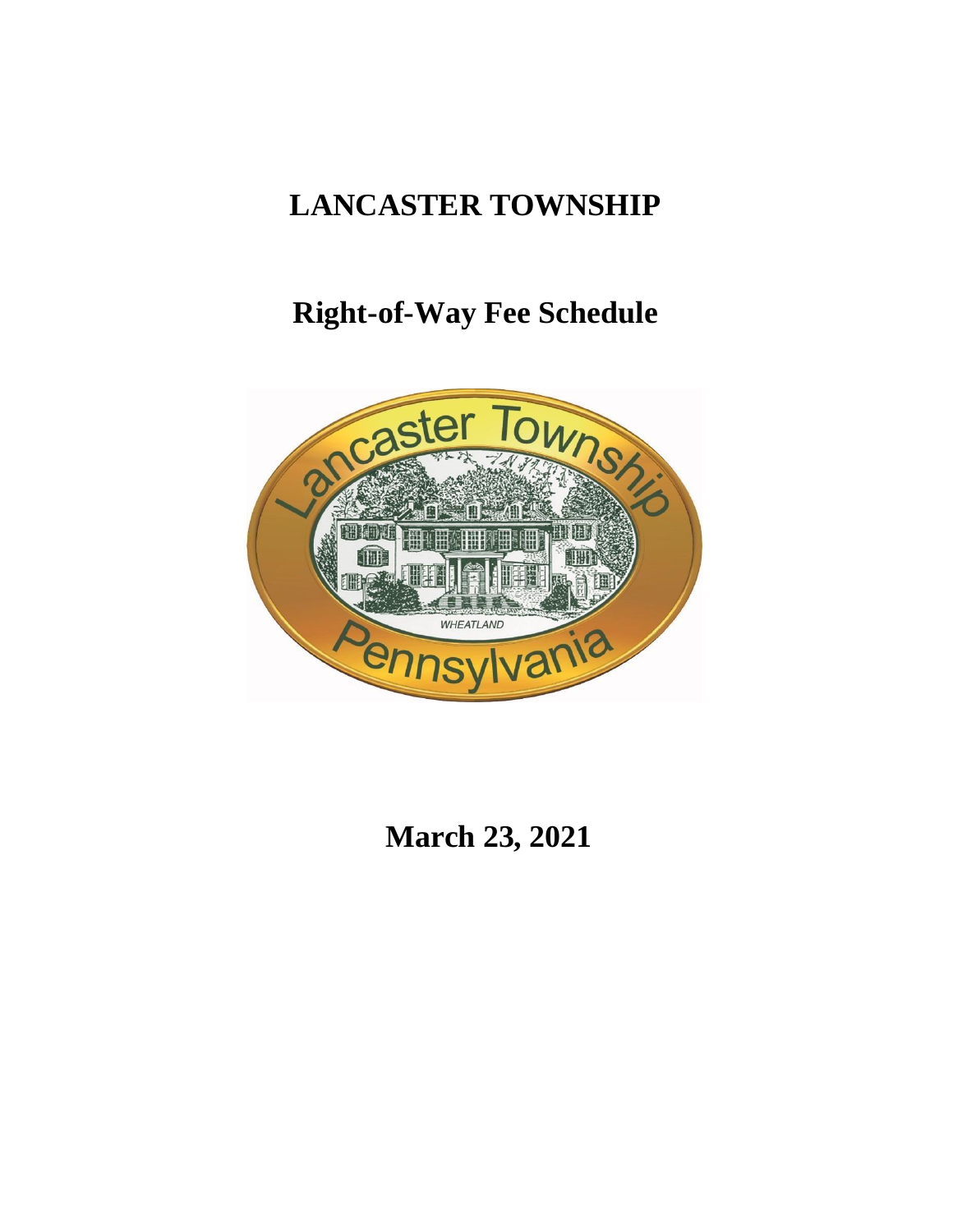# **LANCASTER TOWNSHIP**

# **Right-of-Way Fee Schedule**



**March 23, 2021**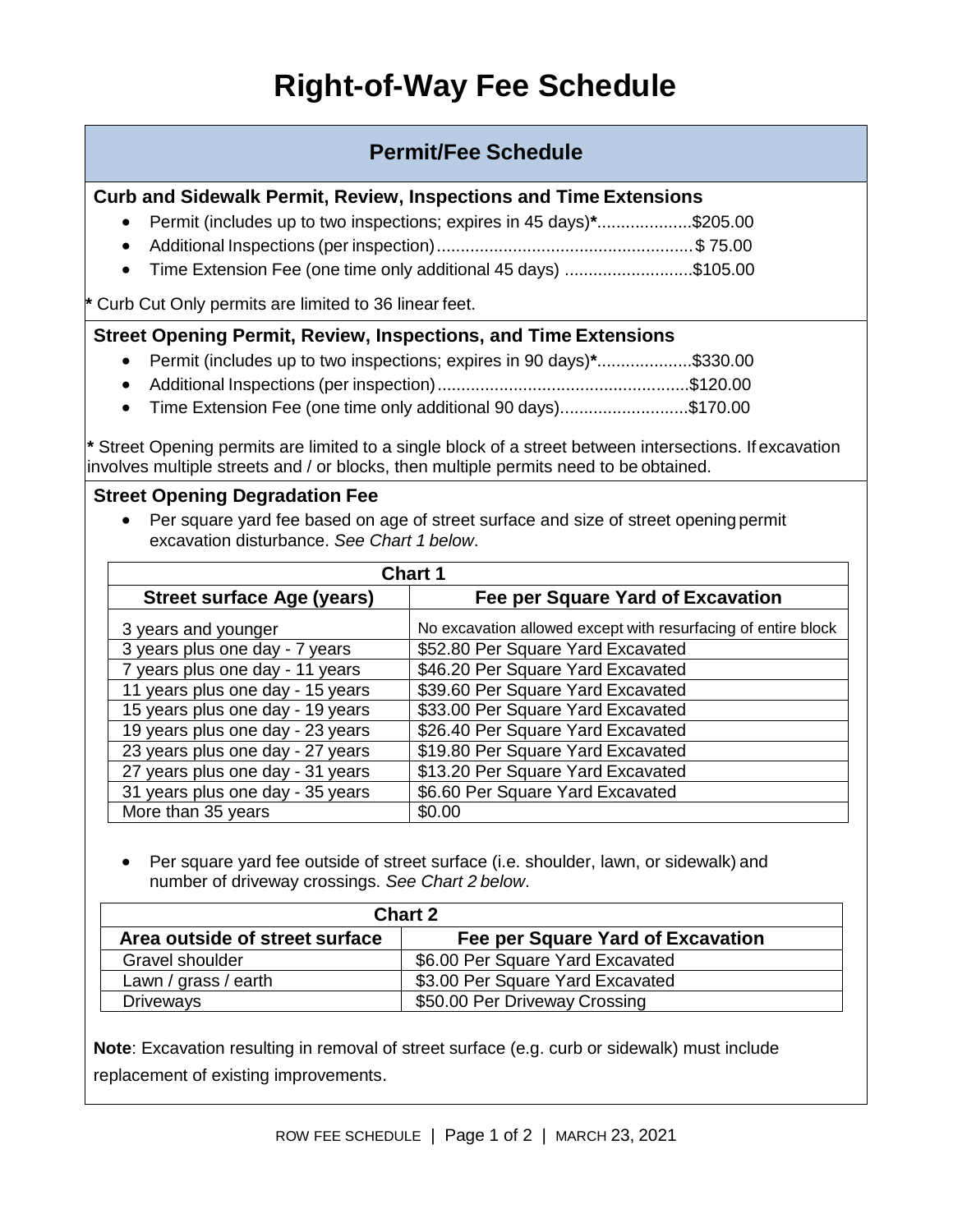### **Permit/Fee Schedule**

#### **Curb and Sidewalk Permit, Review, Inspections and Time Extensions**

- Permit (includes up to two inspections; expires in 45 days)**\***....................\$205.00
- Additional Inspections (per inspection)......................................................\$ 75.00
- Time Extension Fee (one time only additional 45 days) ...........................\$105.00

**\*** Curb Cut Only permits are limited to 36 linear feet.

#### **Street Opening Permit, Review, Inspections, and Time Extensions**

- Permit (includes up to two inspections; expires in 90 days)**\***....................\$330.00
- Additional Inspections (per inspection).....................................................\$120.00
- Time Extension Fee (one time only additional 90 days)...........................\$170.00

**\*** Street Opening permits are limited to a single block of a street between intersections. If excavation involves multiple streets and / or blocks, then multiple permits need to be obtained.

#### **Street Opening Degradation Fee**

 Per square yard fee based on age of street surface and size of street opening permit excavation disturbance. *See Chart 1 below*.

| <b>Chart 1</b>                    |                                                               |  |
|-----------------------------------|---------------------------------------------------------------|--|
| <b>Street surface Age (years)</b> | Fee per Square Yard of Excavation                             |  |
| 3 years and younger               | No excavation allowed except with resurfacing of entire block |  |
| 3 years plus one day - 7 years    | \$52.80 Per Square Yard Excavated                             |  |
| 7 years plus one day - 11 years   | \$46.20 Per Square Yard Excavated                             |  |
| 11 years plus one day - 15 years  | \$39.60 Per Square Yard Excavated                             |  |
| 15 years plus one day - 19 years  | \$33.00 Per Square Yard Excavated                             |  |
| 19 years plus one day - 23 years  | \$26.40 Per Square Yard Excavated                             |  |
| 23 years plus one day - 27 years  | \$19.80 Per Square Yard Excavated                             |  |
| 27 years plus one day - 31 years  | \$13.20 Per Square Yard Excavated                             |  |
| 31 years plus one day - 35 years  | \$6.60 Per Square Yard Excavated                              |  |
| More than 35 years                | \$0.00                                                        |  |

 Per square yard fee outside of street surface (i.e. shoulder, lawn, or sidewalk) and number of driveway crossings. *See Chart 2 below*.

| <b>Chart 2</b>                 |                                   |
|--------------------------------|-----------------------------------|
| Area outside of street surface | Fee per Square Yard of Excavation |
| Gravel shoulder                | \$6.00 Per Square Yard Excavated  |
| Lawn / grass / earth           | \$3.00 Per Square Yard Excavated  |
| <b>Driveways</b>               | \$50.00 Per Driveway Crossing     |

**Note**: Excavation resulting in removal of street surface (e.g. curb or sidewalk) must include replacement of existing improvements.